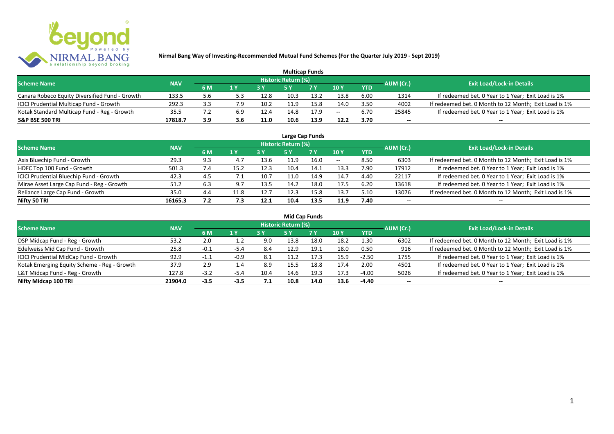

|                                                |            |     |     |      |                     | <b>Multicap Funds</b> |                 |            |           |                                                       |
|------------------------------------------------|------------|-----|-----|------|---------------------|-----------------------|-----------------|------------|-----------|-------------------------------------------------------|
| <b>Scheme Name</b>                             | <b>NAV</b> |     |     |      | Historic Return (%) |                       |                 |            | AUM (Cr.) | <b>Exit Load/Lock-in Details</b>                      |
|                                                |            | 6 M | 1 Y | 2V   |                     | <b>7 Y</b>            | 10 <sub>Y</sub> | <b>YTD</b> |           |                                                       |
| Canara Robeco Equity Diversified Fund - Growth | 133.5      | 5.6 |     | 12.8 | 10.3                | 13.2                  | 13.8            | 6.00       | 1314      | If redeemed bet. 0 Year to 1 Year; Exit Load is 1%    |
| ICICI Prudential Multicap Fund - Growth        | 292.3      | 3.3 | 7.9 | 10.2 |                     | 15.8                  | 14.0            | 3.50       | 4002      | If redeemed bet. 0 Month to 12 Month; Exit Load is 1% |
| Kotak Standard Multicap Fund - Reg - Growth    | 35.5       |     | 6.9 | 12.4 | 14.8                | 17.9                  | $- -$           | 6.70       | 25845     | If redeemed bet. 0 Year to 1 Year; Exit Load is 1%    |
| <b>S&amp;P BSE 500 TRI</b>                     | 17818.7    | 3.9 | 3.6 | 11.0 | 10.6                | 13.9                  | 12.2            | 3.70       | $- -$     | $- -$                                                 |

|                                           |            |     |      |      |                            | Large Cap Funds |       |            |           |                                                       |
|-------------------------------------------|------------|-----|------|------|----------------------------|-----------------|-------|------------|-----------|-------------------------------------------------------|
| <b>Scheme Name</b>                        | <b>NAV</b> |     |      |      | <b>Historic Return (%)</b> |                 |       |            | AUM (Cr.) | <b>Exit Load/Lock-in Details</b>                      |
|                                           |            | 6 M | 1 Y  |      | <b>5Y</b>                  | 7 Y             | 10Y   | <b>YTD</b> |           |                                                       |
| Axis Bluechip Fund - Growth               | 29.3       | 9.3 | 4.7  | 13.6 | 11.9                       | 16.0            | $- -$ | 8.50       | 6303      | If redeemed bet. 0 Month to 12 Month; Exit Load is 1% |
| HDFC Top 100 Fund - Growth                | 501.3      | 7.4 | 15.2 | 12.3 | 10.4                       | 14.1            | 13.3  | 7.90       | 17912     | If redeemed bet. 0 Year to 1 Year; Exit Load is 1%    |
| ICICI Prudential Bluechip Fund - Growth   | 42.3       | 4.5 |      | 10.7 | 11.0                       | 14.9            | 14.7  | 4.40       | 22117     | If redeemed bet. 0 Year to 1 Year; Exit Load is 1%    |
| Mirae Asset Large Cap Fund - Reg - Growth | 51.2       | 6.3 | 9.7  | 13.5 | 14.2                       | 18.0            | 17.5  | 6.20       | 13618     | If redeemed bet. 0 Year to 1 Year; Exit Load is 1%    |
| Reliance Large Cap Fund - Growth          | 35.0       | 4.4 | 11.8 | 12.7 | 12.3                       | 15.8            | 13.7  | 5.10       | 13076     | If redeemed bet. 0 Month to 12 Month; Exit Load is 1% |
| Nifty 50 TRI                              | 16165.3    | 7.2 | 7.3  | 12.1 | 10.4                       | 13.5            | 11.9  | 7.40       |           | --                                                    |

| <b>Mid Cap Funds</b>                        |            |        |        |      |                            |      |      |            |                          |                                                       |  |  |  |  |
|---------------------------------------------|------------|--------|--------|------|----------------------------|------|------|------------|--------------------------|-------------------------------------------------------|--|--|--|--|
| <b>Scheme Name</b>                          | <b>NAV</b> |        |        |      | <b>Historic Return (%)</b> |      |      |            | AUM (Cr.)                | <b>Exit Load/Lock-in Details</b>                      |  |  |  |  |
|                                             |            | 6 M    | 1 Y    |      | 5 Y                        | 7 Y  | 10Y  | <b>YTD</b> |                          |                                                       |  |  |  |  |
| DSP Midcap Fund - Reg - Growth              | 53.2       | 2.0    | 1.2    | 9.0  | 13.8                       | 18.0 | 18.2 | 1.30       | 6302                     | If redeemed bet. 0 Month to 12 Month; Exit Load is 1% |  |  |  |  |
| Edelweiss Mid Cap Fund - Growth             | 25.8       | $-0.1$ | -5.4   | 8.4  | 12.9                       | 19.1 | 18.0 | 0.50       | 916                      | If redeemed bet. 0 Month to 12 Month; Exit Load is 1% |  |  |  |  |
| ICICI Prudential MidCap Fund - Growth       | 92.9       | нT     | $-0.9$ | 8.1  | L1.2                       |      | 15.9 | $-2.50$    | 1755                     | If redeemed bet. 0 Year to 1 Year; Exit Load is 1%    |  |  |  |  |
| Kotak Emerging Equity Scheme - Reg - Growth | 37.9       | 2.9    | 1.4    | 8.9  | 15.5                       | 18.8 | 17.4 | 2.00       | 4501                     | If redeemed bet. 0 Year to 1 Year; Exit Load is 1%    |  |  |  |  |
| L&T Midcap Fund - Reg - Growth              | 127.8      | $-3.2$ | -5.4   | 10.4 | 14.6                       | 19.3 | 17.3 | $-4.00$    | 5026                     | If redeemed bet. 0 Year to 1 Year; Exit Load is 1%    |  |  |  |  |
| Nifty Midcap 100 TRI                        | 21904.0    | $-3.5$ | $-3.5$ | 7.1  | 10.8                       | 14.0 | 13.6 | -4.40      | $\overline{\phantom{a}}$ | $- -$                                                 |  |  |  |  |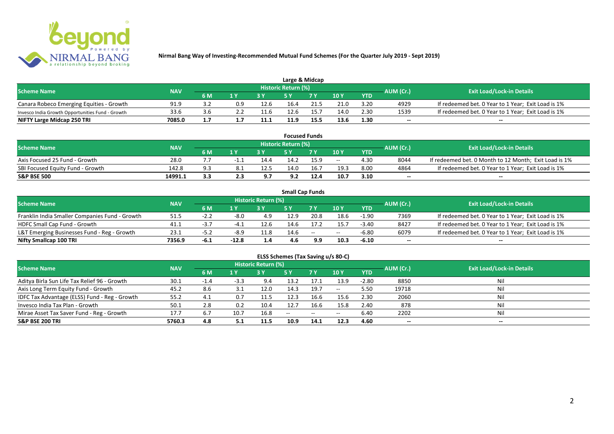

| Large & Midcap                                   |            |         |                         |      |                            |      |      |            |           |                                                    |  |  |  |
|--------------------------------------------------|------------|---------|-------------------------|------|----------------------------|------|------|------------|-----------|----------------------------------------------------|--|--|--|
| <b>Scheme Name</b>                               | <b>NAV</b> |         |                         |      | <b>Historic Return (%)</b> |      |      |            | AUM (Cr.) | <b>Exit Load/Lock-in Details</b>                   |  |  |  |
|                                                  |            | 6 M     | $\mathbf{A} \mathbf{V}$ |      |                            | 7 V  | 10Y  | <b>YTD</b> |           |                                                    |  |  |  |
| Canara Robeco Emerging Equities - Growth         | 91.9       |         | 0.9                     | 12.6 | 16.4                       | 21.5 | 21.0 | 3.20       | 4929      | If redeemed bet. 0 Year to 1 Year; Exit Load is 1% |  |  |  |
| Invesco India Growth Opportunities Fund - Growth | 33.6       |         |                         | 11.6 | 12.6                       |      | 14.0 | 2.30       | 1539      | If redeemed bet. 0 Year to 1 Year; Exit Load is 1% |  |  |  |
| NIFTY Large Midcap 250 TRI                       | 7085.0     | <b></b> |                         | 11.1 | 11.9                       | 15.5 | 13.6 | 1.30       | $- -$     | $- -$                                              |  |  |  |

| <b>Focused Funds</b>             |            |     |      |      |                            |      |       |            |           |                                                       |  |  |  |
|----------------------------------|------------|-----|------|------|----------------------------|------|-------|------------|-----------|-------------------------------------------------------|--|--|--|
| <b>Scheme Name</b>               | <b>NAV</b> |     |      |      | <b>Historic Return (%)</b> |      |       |            | AUM (Cr.) | <b>Exit Load/Lock-in Details</b>                      |  |  |  |
|                                  |            | 6 M | 1 V  |      | c v                        | 7 V  | 10Y   | <b>YTD</b> |           |                                                       |  |  |  |
| Axis Focused 25 Fund - Growth    | 28.0       |     | -1.1 | 14.4 | 14.2                       | 15.9 | $- -$ | 4.30       | 8044      | If redeemed bet. 0 Month to 12 Month; Exit Load is 1% |  |  |  |
| SBI Focused Equity Fund - Growth | 142.8      | 93  |      | 12.5 | 14.0                       | 16.  | 19.3  | 8.00       | 4864      | If redeemed bet. 0 Year to 1 Year; Exit Load is 1%    |  |  |  |
| <b>S&amp;P BSE 500</b>           | 14991.1    | 3.3 |      |      | 9.2                        | 12.4 | 10.7  | 3.10       | $- -$     | $- -$                                                 |  |  |  |

|                                                |            |        |         |                     |      | <b>Small Cap Funds</b>                         |                          |            |           |                                                    |
|------------------------------------------------|------------|--------|---------|---------------------|------|------------------------------------------------|--------------------------|------------|-----------|----------------------------------------------------|
| <b>Scheme Name</b>                             | <b>NAV</b> |        |         | Historic Return (%) |      |                                                |                          |            | AUM (Cr.) | <b>Exit Load/Lock-in Details</b>                   |
|                                                |            | 6 M    |         |                     |      |                                                | 10Y                      | <b>YTD</b> |           |                                                    |
| Franklin India Smaller Companies Fund - Growth | 51.5       |        | $-8.0$  | 4.9                 | 12.9 | 20.8                                           | 18.6                     | $-1.90$    | 7369      | If redeemed bet. 0 Year to 1 Year; Exit Load is 1% |
| HDFC Small Cap Fund - Growth                   | 41.1       | -3.,   | -4      | 12.6                | 14.6 | 17.2                                           | 15.7                     | $-3.40$    | 8427      | If redeemed bet. 0 Year to 1 Year; Exit Load is 1% |
| L&T Emerging Businesses Fund - Reg - Growth    | 23.1       | -5.z   | -8.9    | 11.8                | 14.6 | $\hspace{0.1mm}-\hspace{0.1mm}-\hspace{0.1mm}$ | $\overline{\phantom{a}}$ | $-6.80$    | 6079      | If redeemed bet. 0 Year to 1 Year; Exit Load is 1% |
| Nifty Smallcap 100 TRI                         | 7356.9     | $-6.1$ | $-12.8$ | 1.4                 | 4.6  | 9.9                                            | 10.3                     | $-6.10$    | $- -$     | --                                                 |

# **ELSS Schemes (Tax Saving u/s 80-C)**

| <b>Scheme Name</b>                            | <b>NAV</b> |        |        | <b>Historic Return (%)</b> |               |           |               | AUM (Cr.)  | <b>Exit Load/Lock-in Details</b> |       |
|-----------------------------------------------|------------|--------|--------|----------------------------|---------------|-----------|---------------|------------|----------------------------------|-------|
|                                               |            | 6 M    | 1 Y    |                            | 5 Y           | <b>7Y</b> | 10Y           | <b>YTD</b> |                                  |       |
| Aditya Birla Sun Life Tax Relief 96 - Growth  | 30.1       | $-1.4$ | $-3.3$ | 9.4                        | 13.2          | 17.1      | 13.9          | $-2.80$    | 8850                             |       |
| Axis Long Term Equity Fund - Growth           | 45.2       | 8.6    |        | 12.0                       | 14.3          | 19.7      | $- -$         | 5.50       | 19718                            | Nil   |
| IDFC Tax Advantage (ELSS) Fund - Reg - Growth | 55.2       | 4.1    | 0.7    | 11.5                       | 12.3          | 16.6      | 15.6          | 2.30       | 2060                             | Nil   |
| Invesco India Tax Plan - Growth               | 50.1       | 2.8    | 0.2    | 10.4                       | 12.7          | 16.6      | 15.8          | 2.40       | 878                              | Nil   |
| Mirae Asset Tax Saver Fund - Reg - Growth     | 17.7       | 6.7    | 10.7   | 16.8                       | $\sim$ $\sim$ | $\sim$    | $\sim$ $\sim$ | 6.40       | 2202                             | Nil   |
| <b>S&amp;P BSE 200 TRI</b>                    | 5760.3     | 4.8    |        | 11.5                       | 10.9          | 14.1      | 12.3          | 4.60       | $\sim$                           | $- -$ |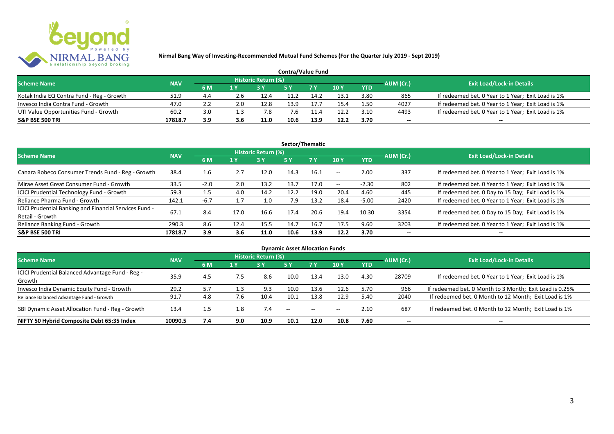

| <b>Contra/Value Fund</b>                  |            |           |     |                     |      |       |               |            |           |                                                    |  |  |  |
|-------------------------------------------|------------|-----------|-----|---------------------|------|-------|---------------|------------|-----------|----------------------------------------------------|--|--|--|
| <b>Scheme Name</b>                        | <b>NAV</b> |           |     | Historic Return (%) |      |       |               |            | AUM (Cr.) | <b>Exit Load/Lock-in Details</b>                   |  |  |  |
|                                           |            | <b>6M</b> | 1 Y |                     |      |       | $\sqrt{10}$ Y | <b>YTD</b> |           |                                                    |  |  |  |
| Kotak India EQ Contra Fund - Reg - Growth | 51.9       | 4.4       | ∠.6 | 12.4                |      | 14.2  | 13.1          | 3.80       | 865       | If redeemed bet. 0 Year to 1 Year; Exit Load is 1% |  |  |  |
| Invesco India Contra Fund - Growth        | 47.0       |           | 2.0 | 12.8                | 13.9 | 17.7  | 15.4          | 1.50       | 4027      | If redeemed bet. 0 Year to 1 Year; Exit Load is 1% |  |  |  |
| UTI Value Opportunities Fund - Growth     | 60.2       | 3.0       |     | 7.8                 |      | l 1.4 | 12.2          | 3.10       | 4493      | If redeemed bet. 0 Year to 1 Year; Exit Load is 1% |  |  |  |
| <b>S&amp;P BSE 500 TRI</b>                | 17818.7    | 3.9       | 3.6 | 11.0                | 10.6 | 13.9  | 12.2          | 3.70       | --        | $- -$                                              |  |  |  |

| Sector/Thematic                                                           |            |        |      |                            |      |           |                          |            |           |                                                    |  |  |
|---------------------------------------------------------------------------|------------|--------|------|----------------------------|------|-----------|--------------------------|------------|-----------|----------------------------------------------------|--|--|
| <b>Scheme Name</b>                                                        | <b>NAV</b> |        |      | <b>Historic Return (%)</b> |      |           |                          |            | AUM (Cr.) | <b>Exit Load/Lock-in Details</b>                   |  |  |
|                                                                           |            | 6 M    | 1 Y  | <b>3 Y</b>                 | 5Y   | <b>7Y</b> | 10Y                      | <b>YTD</b> |           |                                                    |  |  |
| Canara Robeco Consumer Trends Fund - Reg - Growth                         | 38.4       | 1.6    | 2.7  | 12.0                       | 14.3 | 16.1      | $\overline{\phantom{a}}$ | 2.00       | 337       | If redeemed bet. 0 Year to 1 Year; Exit Load is 1% |  |  |
| Mirae Asset Great Consumer Fund - Growth                                  | 33.5       | $-2.0$ | 2.0  | 13.2                       | 13.7 | 17.0      | $\sim$ $\sim$            | $-2.30$    | 802       | If redeemed bet. 0 Year to 1 Year; Exit Load is 1% |  |  |
| ICICI Prudential Technology Fund - Growth                                 | 59.3       |        | 4.0  | 14.2                       | 12.2 | 19.0      | 20.4                     | 4.60       | 445       | If redeemed bet. 0 Day to 15 Day; Exit Load is 1%  |  |  |
| Reliance Pharma Fund - Growth                                             | 142.1      | $-6.7$ |      | 1.0                        | 7.9  | 13.2      | 18.4                     | $-5.00$    | 2420      | If redeemed bet. 0 Year to 1 Year; Exit Load is 1% |  |  |
| ICICI Prudential Banking and Financial Services Fund -<br>Retail - Growth | 67.1       | 8.4    | 17.0 | 16.6                       | 17.4 | 20.6      | 19.4                     | 10.30      | 3354      | If redeemed bet. 0 Day to 15 Day; Exit Load is 1%  |  |  |
| Reliance Banking Fund - Growth                                            | 290.3      | 8.6    | 12.4 | 15.5                       | 14.7 | 16.7      | 17.5                     | 9.60       | 3203      | If redeemed bet. 0 Year to 1 Year; Exit Load is 1% |  |  |
| <b>S&amp;P BSE 500 TRI</b>                                                | 17818.7    | 3.9    | 3.6  | 11.0                       | 10.6 | 13.9      | 12.2                     | 3.70       | --        | $- -$                                              |  |  |

| <b>Dynamic Asset Allocation Funds</b>            |            |         |     |                            |      |               |       |            |                          |                                                         |  |  |  |
|--------------------------------------------------|------------|---------|-----|----------------------------|------|---------------|-------|------------|--------------------------|---------------------------------------------------------|--|--|--|
| <b>Scheme Name</b>                               | <b>NAV</b> |         |     | <b>Historic Return (%)</b> |      |               |       |            | AUM (Cr.)                | <b>Exit Load/Lock-in Details</b>                        |  |  |  |
|                                                  |            | 6 M     | 1 Y | 3Y                         | 5 Y  | <b>7Y</b>     | 10Y   | <b>YTD</b> |                          |                                                         |  |  |  |
| ICICI Prudential Balanced Advantage Fund - Reg - | 35.9       | 4.5     |     |                            | 10.0 |               |       | 4.30       |                          |                                                         |  |  |  |
| Growth                                           |            |         | 7.5 | 8.6                        |      | 13.4          | 13.0  |            | 28709                    | If redeemed bet. 0 Year to 1 Year; Exit Load is 1%      |  |  |  |
| Invesco India Dynamic Equity Fund - Growth       | 29.2       | 5.7     |     | 9.3                        | 10.0 | 13.6          | 12.6  | 5.70       | 966                      | If redeemed bet. 0 Month to 3 Month; Exit Load is 0.25% |  |  |  |
| Reliance Balanced Advantage Fund - Growth        | 91.7       | 4.8     | 7.6 | 10.4                       | 10.1 | 13.8          | 12.9  | 5.40       | 2040                     | If redeemed bet. 0 Month to 12 Month; Exit Load is 1%   |  |  |  |
| SBI Dynamic Asset Allocation Fund - Reg - Growth | 13.4       | $1.5\,$ | 1.8 | 7.4                        | $ -$ | $\sim$ $\sim$ | $- -$ | 2.10       | 687                      | If redeemed bet. 0 Month to 12 Month; Exit Load is 1%   |  |  |  |
| NIFTY 50 Hybrid Composite Debt 65:35 Index       | 10090.5    | 7.4     | 9.0 | 10.9                       | 10.1 | 12.0          | 10.8  | 7.60       | $\overline{\phantom{a}}$ | $- -$                                                   |  |  |  |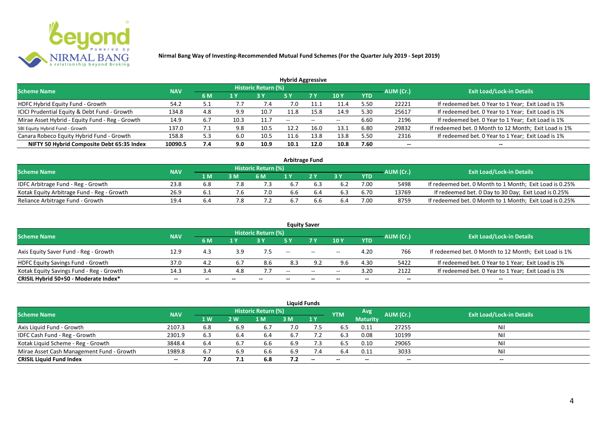

| <b>Hybrid Aggressive</b>                        |            |     |      |                            |                          |                          |                          |            |                          |                                                       |  |  |  |
|-------------------------------------------------|------------|-----|------|----------------------------|--------------------------|--------------------------|--------------------------|------------|--------------------------|-------------------------------------------------------|--|--|--|
| <b>Scheme Name</b>                              | <b>NAV</b> |     |      | <b>Historic Return (%)</b> |                          |                          |                          |            | AUM (Cr.)                | <b>Exit Load/Lock-in Details</b>                      |  |  |  |
|                                                 |            | 6 M | 1 Y  |                            | 5 Y                      | 7 Y                      | 10Y                      | <b>YTD</b> |                          |                                                       |  |  |  |
| HDFC Hybrid Equity Fund - Growth                | 54.2       | 5.1 | 7.7  | 7.4                        | 7.0                      |                          | 11.4                     | 5.50       | 22221                    | If redeemed bet. 0 Year to 1 Year; Exit Load is 1%    |  |  |  |
| ICICI Prudential Equity & Debt Fund - Growth    | 134.8      | 4.8 | 9.9  | 10.7                       | 11.8                     | 15.8                     | 14.9                     | 5.30       | 25617                    | If redeemed bet. 0 Year to 1 Year; Exit Load is 1%    |  |  |  |
| Mirae Asset Hybrid - Equity Fund - Reg - Growth | 14.9       | 6.7 | 10.3 | 11.7                       | $\overline{\phantom{a}}$ | $\overline{\phantom{a}}$ | $\overline{\phantom{m}}$ | 6.60       | 2196                     | If redeemed bet. 0 Year to 1 Year; Exit Load is 1%    |  |  |  |
| SBI Equity Hybrid Fund - Growth                 | 137.0      | .   | 9.8  | 10.5                       | 12.2                     | 16.0                     | 13.1                     | 6.80       | 29832                    | If redeemed bet. 0 Month to 12 Month; Exit Load is 1% |  |  |  |
| Canara Robeco Equity Hybrid Fund - Growth       | 158.8      | 5.3 | 6.0  | 10.5                       |                          | 13.8                     | 13.8                     | 5.50       | 2316                     | If redeemed bet. 0 Year to 1 Year; Exit Load is 1%    |  |  |  |
| NIFTY 50 Hybrid Composite Debt 65:35 Index      | 10090.5    | 7.4 | 9.0  | 10.9                       | 10.1                     | 12.0                     | 10.8                     | 7.60       | $\overline{\phantom{a}}$ | $- -$                                                 |  |  |  |

| <b>Arbitrage Fund</b>                      |            |           |     |                            |     |  |     |      |           |                                                         |  |  |  |
|--------------------------------------------|------------|-----------|-----|----------------------------|-----|--|-----|------|-----------|---------------------------------------------------------|--|--|--|
| <b>Scheme Name</b>                         | <b>NAV</b> |           |     | <b>Historic Return (%)</b> |     |  |     |      | AUM (Cr.) | <b>Exit Load/Lock-in Details</b>                        |  |  |  |
|                                            |            | 1 M       | 3 M | 6 M                        |     |  | 2 V | YTD  |           |                                                         |  |  |  |
| IDFC Arbitrage Fund - Reg - Growth         | 23.8       | 6.8       |     |                            | 6.7 |  |     | 7.00 | 5498      | If redeemed bet. 0 Month to 1 Month; Exit Load is 0.25% |  |  |  |
| Kotak Equity Arbitrage Fund - Reg - Growth | 26.9       | <b>b.</b> |     | 7.0                        | 6.6 |  |     | 6.70 | 13769     | If redeemed bet. 0 Day to 30 Day; Exit Load is 0.25%    |  |  |  |
| Reliance Arbitrage Fund - Growth           | 19.4       | b.4       |     |                            | 6.7 |  | 6.4 | 7.00 | 8759      | If redeemed bet. 0 Month to 1 Month; Exit Load is 0.25% |  |  |  |

|                                          |            |     |     |                     |       | <b>Equity Saver</b>                            |       |            |           |                                                       |
|------------------------------------------|------------|-----|-----|---------------------|-------|------------------------------------------------|-------|------------|-----------|-------------------------------------------------------|
| <b>Scheme Name</b>                       | <b>NAV</b> |     |     | Historic Return (%) |       |                                                |       |            |           | <b>Exit Load/Lock-in Details</b>                      |
|                                          |            | 6 M | 1 Y |                     |       | 7 <sub>V</sub>                                 | 10Y   | <b>YTD</b> | AUM (Cr.) |                                                       |
| Axis Equity Saver Fund - Reg - Growth    | 12.9       | 4.3 | 3.9 |                     | $- -$ | $\hspace{0.1mm}-\hspace{0.1mm}-\hspace{0.1mm}$ | $- -$ | 4.20       | 766       | If redeemed bet. 0 Month to 12 Month; Exit Load is 1% |
| HDFC Equity Savings Fund - Growth        | 37.0       | 4.2 |     | 8.6                 | 8.3   | 9.2                                            | 9.6   | 4.30       | 5422      | If redeemed bet. 0 Year to 1 Year; Exit Load is 1%    |
| Kotak Equity Savings Fund - Reg - Growth | 14.3       | 3.4 | 4.8 |                     | $-$   | $\sim$                                         | $- -$ | 3.20       | 2122      | If redeemed bet. 0 Year to 1 Year; Exit Load is 1%    |
| CRISIL Hybrid 50+50 - Moderate Index*    | $- -$      | --  |     | --                  | --    | $- -$                                          |       | --         | --        | $- -$                                                 |

|                                           |            |           |     |                     |     | <b>Liquid Funds</b> |            |                 |           |                                  |
|-------------------------------------------|------------|-----------|-----|---------------------|-----|---------------------|------------|-----------------|-----------|----------------------------------|
| <b>Scheme Name</b>                        | <b>NAV</b> |           |     | Historic Return (%) |     |                     | <b>YTM</b> | Avg'            | AUM (Cr.) | <b>Exit Load/Lock-in Details</b> |
|                                           |            | <b>1W</b> | 2 W | 1 M                 | 3 M | 1Y                  |            | <b>Maturity</b> |           |                                  |
| Axis Liquid Fund - Growth                 | 2107.3     | 6.8       | 6.9 | 6.7                 | 7.0 | 7.5                 | 6.5        | 0.11            | 27255     | Nil                              |
| IDFC Cash Fund - Reg - Growth             | 2301.9     | 6.3       |     | -6.4                | 6.7 |                     | 6.3        | 0.08            | 10199     | Nil                              |
| Kotak Liquid Scheme - Reg - Growth        | 3848.4     | 6.4       |     | 6.6                 | 6.9 | 7.3                 | 6.5        | 0.10            | 29065     | Nil                              |
| Mirae Asset Cash Management Fund - Growth | 1989.8     | 6.7       | 6.9 | 6.6                 | 6.9 | 7.4                 | 6.4        | 0.11            | 3033      | Nil                              |
| <b>CRISIL Liquid Fund Index</b>           | $- -$      | 7.0       | 7.1 | 6.8                 | 7.2 | $-$                 | $- -$      | $- -$           | $- -$     | $- -$                            |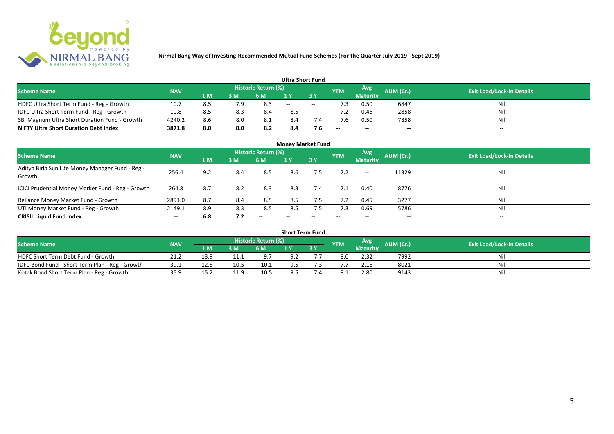

|                                               |            |     |     |                            | <b>Ultra Short Fund</b> |        |            |                 |           |                                  |
|-----------------------------------------------|------------|-----|-----|----------------------------|-------------------------|--------|------------|-----------------|-----------|----------------------------------|
| <b>Scheme Name</b>                            | <b>NAV</b> |     |     | <b>Historic Return (%)</b> |                         |        | <b>YTM</b> | Avg             | AUM (Cr.) | <b>Exit Load/Lock-in Details</b> |
|                                               |            | 1 M | 3 M | 6 M                        | 1 Y                     |        |            | <b>Maturity</b> |           |                                  |
| HDFC Ultra Short Term Fund - Reg - Growth     | 10.7       | 8.5 | 7.9 | 8.3                        | $  \,$                  | $\sim$ | ٠3         | 0.50            | 6847      | Nil                              |
| IDFC Ultra Short Term Fund - Reg - Growth     | 10.8       | 8.5 | 8.3 | 8.4                        | 8.5                     | $\sim$ |            | 0.46            | 2858      | Nil                              |
| SBI Magnum Ultra Short Duration Fund - Growth | 4240.2     | 8.6 | 8.0 |                            | 8.4                     |        |            | 0.50            | 7858      | Nil                              |
| <b>NIFTY Ultra Short Duration Debt Index</b>  | 3871.8     | 8.0 | 8.0 | 8.2                        | 8.4                     | 7.6    | $- -$      | $- -$           | $- -$     | $\overline{\phantom{a}}$         |

| <b>Money Market Fund</b>                                   |            |     |     |                     |       |                          |            |                     |           |                                  |  |  |  |  |
|------------------------------------------------------------|------------|-----|-----|---------------------|-------|--------------------------|------------|---------------------|-----------|----------------------------------|--|--|--|--|
| <b>Scheme Name</b>                                         | <b>NAV</b> |     |     | Historic Return (%) |       |                          | <b>YTM</b> | Avg                 | AUM (Cr.) | <b>Exit Load/Lock-in Details</b> |  |  |  |  |
|                                                            |            | 1 M | 3M  | 6 M                 | 1Y    | 3Y                       |            | <b>Maturity</b>     |           |                                  |  |  |  |  |
| Aditya Birla Sun Life Money Manager Fund - Reg -<br>Growth | 256.4      | 9.2 | 8.4 | 8.5                 | 8.6   | 7.5                      |            | $\hspace{0.05cm} -$ | 11329     | Nil                              |  |  |  |  |
| ICICI Prudential Money Market Fund - Reg - Growth          | 264.8      | 8.7 | 8.2 | 8.3                 | 8.3   | 7.4                      |            | 0.40                | 8776      | Nil                              |  |  |  |  |
| Reliance Money Market Fund - Growth                        | 2891.0     | 8.7 | 8.4 | 8.5                 | 8.5   |                          |            | 0.45                | 3277      | Nil                              |  |  |  |  |
| UTI Money Market Fund - Reg - Growth                       | 2149.1     | 8.9 | 8.3 | 8.5                 | 8.5   | 7.5                      | 7.3        | 0.69                | 5786      | Nil                              |  |  |  |  |
| <b>CRISIL Liquid Fund Index</b>                            | $- -$      | 6.8 | 7.2 | $- -$               | $- -$ | $\overline{\phantom{a}}$ | $- -$      | $- -$               | $- -$     | $- -$                            |  |  |  |  |

| <b>Short Term Fund</b>                          |                                  |      |            |            |     |     |            |                 |           |     |  |  |  |  |
|-------------------------------------------------|----------------------------------|------|------------|------------|-----|-----|------------|-----------------|-----------|-----|--|--|--|--|
| <b>Scheme Name</b>                              | <b>Exit Load/Lock-in Details</b> |      |            |            |     |     |            |                 |           |     |  |  |  |  |
|                                                 | <b>NAV</b>                       | 1 M  | 3M         | <b>6 M</b> |     | 3 Y | <b>YTM</b> | <b>Maturity</b> | AUM (Cr.) |     |  |  |  |  |
| HDFC Short Term Debt Fund - Growth              | 21.2                             | 13.9 | <b>+++</b> | 9.7        | 9.2 |     |            | 2.32            | 7992      | Nil |  |  |  |  |
| IDFC Bond Fund - Short Term Plan - Reg - Growth | 39.1                             | 12.5 | 10.5       | 10.1       | 9.5 |     |            | 2.16            | 8021      | Nil |  |  |  |  |
| Kotak Bond Short Term Plan - Reg - Growth       | 35.9                             | 15.2 | -11.5      | 10.5       | 9.5 |     |            | 2.80            | 9143      | Nil |  |  |  |  |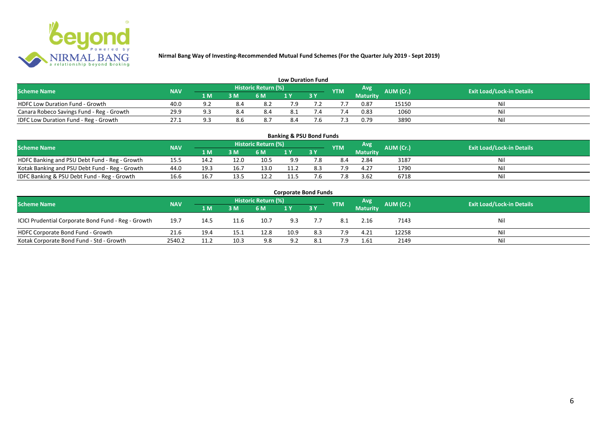

| <b>Low Duration Fund</b>                  |            |     |     |                            |     |     |            |                 |                  |                                  |  |  |  |  |
|-------------------------------------------|------------|-----|-----|----------------------------|-----|-----|------------|-----------------|------------------|----------------------------------|--|--|--|--|
| <b>Scheme Name</b>                        | <b>NAV</b> |     |     | <b>Historic Return (%)</b> |     |     | <b>YTM</b> | Avg             | <b>AUM (Cr.)</b> | <b>Exit Load/Lock-in Details</b> |  |  |  |  |
|                                           |            | 1 M | 3 M | 6 M                        | 1 Y |     |            | <b>Maturity</b> |                  |                                  |  |  |  |  |
| <b>HDFC Low Duration Fund - Growth</b>    | 40.0       | a.  | 8.4 |                            | 7.9 |     |            | 0.87            | 15150            | Nil                              |  |  |  |  |
| Canara Robeco Savings Fund - Reg - Growth | 29.9       | O.  | 8.4 | 8.4                        | 8.1 |     |            | 0.83            | 1060             | Nil                              |  |  |  |  |
| IDFC Low Duration Fund - Reg - Growth     | 27.1       | Q   | 8.6 |                            | 8.4 | . ס |            | 0.79            | 3890             | Nil                              |  |  |  |  |

| <b>Banking &amp; PSU Bond Funds</b>            |            |      |      |                            |      |           |            |                 |           |                                  |  |  |  |  |
|------------------------------------------------|------------|------|------|----------------------------|------|-----------|------------|-----------------|-----------|----------------------------------|--|--|--|--|
| <b>Scheme Name</b>                             | <b>NAV</b> |      |      | <b>Historic Return (%)</b> |      |           | <b>YTM</b> | Avg             | AUM (Cr.) | <b>Exit Load/Lock-in Details</b> |  |  |  |  |
|                                                |            | 1 M  | 3M   | 6 M                        |      | <b>3Y</b> |            | <b>Maturity</b> |           |                                  |  |  |  |  |
| HDFC Banking and PSU Debt Fund - Reg - Growth  | 15.5       | 14.2 | 12.0 | 10.5                       | 9.9  | 7.8       | 8.4        | 2.84            | 3187      | Ni                               |  |  |  |  |
| Kotak Banking and PSU Debt Fund - Reg - Growth | 44.0       | 19.3 | 16.7 | 13.0                       | 11.2 | 8.3       | 7 Q        | 4.27            | 1790      | Ni                               |  |  |  |  |
| IDFC Banking & PSU Debt Fund - Reg - Growth    | 16.6       | 16.7 | 13.5 | 12.2                       | 11.5 |           | .8         | 3.62            | 6718      | Ni                               |  |  |  |  |

| <b>Corporate Bond Funds</b>                                                                                                   |        |      |      |      |      |           |     |                 |       |     |  |  |  |  |
|-------------------------------------------------------------------------------------------------------------------------------|--------|------|------|------|------|-----------|-----|-----------------|-------|-----|--|--|--|--|
| Historic Return (%)<br>Avg<br>AUM (Cr.)<br><b>Exit Load/Lock-in Details</b><br><b>Scheme Name</b><br><b>NAV</b><br><b>YTM</b> |        |      |      |      |      |           |     |                 |       |     |  |  |  |  |
|                                                                                                                               |        | 1 M  | 3 M  | 6 M  |      | <b>3Y</b> |     | <b>Maturity</b> |       |     |  |  |  |  |
| ICICI Prudential Corporate Bond Fund - Reg - Growth                                                                           | 19.7   | 14.5 | 11.6 | 10.7 | 9.3  |           | 8.1 | 2.16            | 7143  | Nil |  |  |  |  |
| HDFC Corporate Bond Fund - Growth                                                                                             | 21.6   | 19.4 | 15.1 | 12.8 | 10.9 | 8.3       | 7.9 | 4.21            | 12258 | Nil |  |  |  |  |
| Kotak Corporate Bond Fund - Std - Growth                                                                                      | 2540.2 | 11.2 | 10.3 | 9.8  | 9.2  | 8.1       | 7.9 | 1.61            | 2149  | Nil |  |  |  |  |